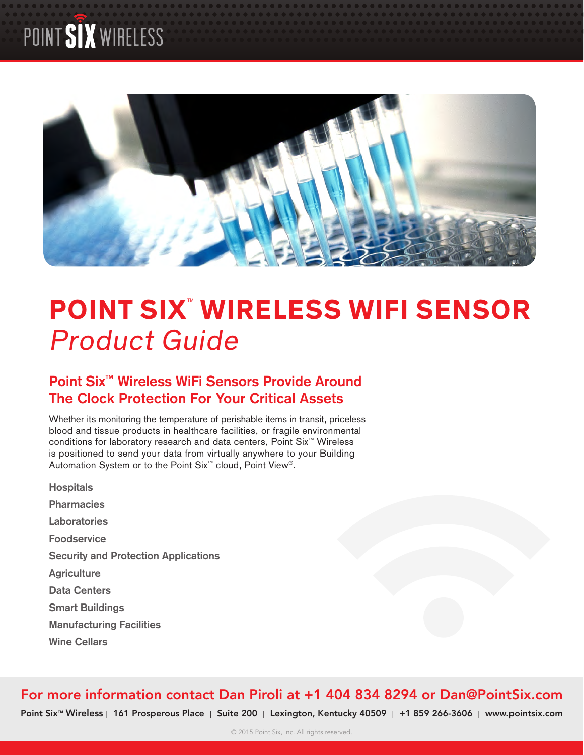# POINT SIX WIRELESS



# **POINT SIX™ WIRELESS WIFI SENSOR** Product Guide

# **Point Six™ Wireless WiFi Sensors Provide Around The Clock Protection For Your Critical Assets**

Whether its monitoring the temperature of perishable items in transit, priceless blood and tissue products in healthcare facilities, or fragile environmental conditions for laboratory research and data centers, Point Six™ Wireless is positioned to send your data from virtually anywhere to your Building Automation System or to the Point Six™ cloud, Point View®.

**Hospitals Pharmacies Laboratories Foodservice Security and Protection Applications Agriculture Data Centers Smart Buildings Manufacturing Facilities Wine Cellars**

# For more information contact Dan Piroli at +1 404 834 8294 or Dan@PointSix.com

Point Six<sup>™</sup> Wireless | 161 Prosperous Place | Suite 200 | Lexington, Kentucky 40509 | +1 859 266-3606 | [www.pointsix.com](http://www.pointsix.com)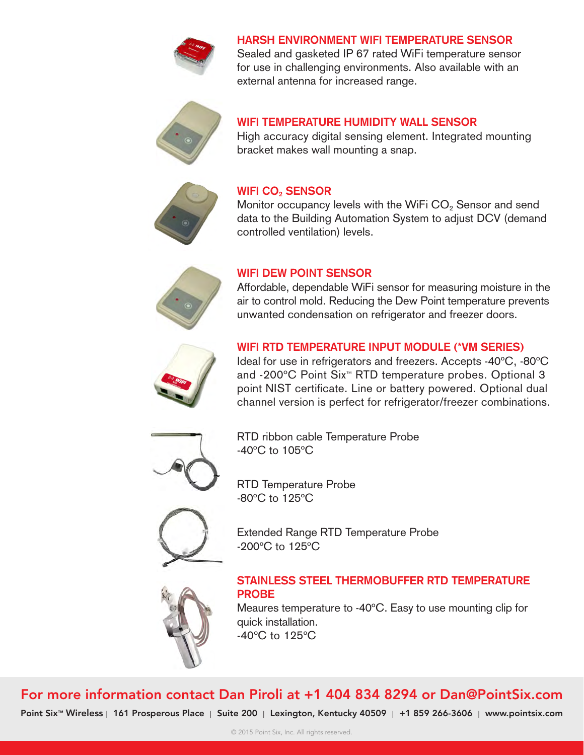

#### **Harsh Environment WiFi Temperature Sensor**

Sealed and gasketed IP 67 rated WiFi temperature sensor for use in challenging environments. Also available with an external antenna for increased range.



### **WiFi Temperature Humidity Wall Sensor**

High accuracy digital sensing element. Integrated mounting bracket makes wall mounting a snap.



#### **WiFi CO2 Sensor**

Monitor occupancy levels with the WiFi  $CO<sub>2</sub>$  Sensor and send data to the Building Automation System to adjust DCV (demand controlled ventilation) levels.



#### **WiFi Dew Point Sensor**

Affordable, dependable WiFi sensor for measuring moisture in the air to control mold. Reducing the Dew Point temperature prevents unwanted condensation on refrigerator and freezer doors.

#### **WiFi RTD Temperature Input Module (\*VM Series)**

Ideal for use in refrigerators and freezers. Accepts -40ºC, -80ºC and -200ºC Point Six™ RTD temperature probes. Optional 3 point NIST certificate. Line or battery powered. Optional dual channel version is perfect for refrigerator/freezer combinations.



RTD ribbon cable Temperature Probe -40ºC to 105ºC

RTD Temperature Probe -80ºC to 125ºC



Extended Range RTD Temperature Probe -200ºC to 125ºC

#### **Stainless Steel Thermobuffer RTD Temperature Probe**



Meaures temperature to -40ºC. Easy to use mounting clip for quick installation.

-40ºC to 125ºC

# For more information contact Dan Piroli at +1 404 834 8294 or Dan@PointSix.com

Point Six<sup>™</sup> Wireless | 161 Prosperous Place | Suite 200 | Lexington, Kentucky 40509 | +1 859 266-3606 | [www.pointsix.com](http://www.pointsix.com)